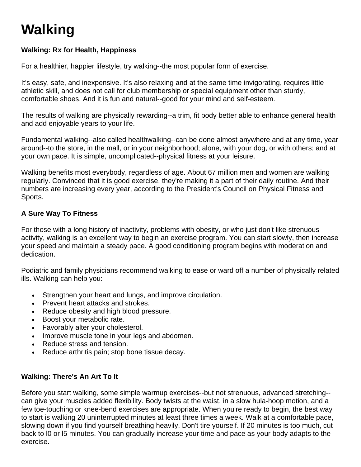# **Walking**

# **Walking: Rx for Health, Happiness**

For a healthier, happier lifestyle, try walking--the most popular form of exercise.

It's easy, safe, and inexpensive. It's also relaxing and at the same time invigorating, requires little athletic skill, and does not call for club membership or special equipment other than sturdy, comfortable shoes. And it is fun and natural--good for your mind and self-esteem.

The results of walking are physically rewarding--a trim, fit body better able to enhance general health and add enjoyable years to your life.

Fundamental walking--also called healthwalking--can be done almost anywhere and at any time, year around--to the store, in the mall, or in your neighborhood; alone, with your dog, or with others; and at your own pace. It is simple, uncomplicated--physical fitness at your leisure.

Walking benefits most everybody, regardless of age. About 67 million men and women are walking regularly. Convinced that it is good exercise, they're making it a part of their daily routine. And their numbers are increasing every year, according to the President's Council on Physical Fitness and Sports.

### **A Sure Way To Fitness**

For those with a long history of inactivity, problems with obesity, or who just don't like strenuous activity, walking is an excellent way to begin an exercise program. You can start slowly, then increase your speed and maintain a steady pace. A good conditioning program begins with moderation and dedication.

Podiatric and family physicians recommend walking to ease or ward off a number of physically related ills. Walking can help you:

- Strengthen your heart and lungs, and improve circulation.
- Prevent heart attacks and strokes.
- Reduce obesity and high blood pressure.
- Boost your metabolic rate.
- Favorably alter your cholesterol.
- Improve muscle tone in your legs and abdomen.
- Reduce stress and tension.
- Reduce arthritis pain; stop bone tissue decay.

#### **Walking: There's An Art To It**

Before you start walking, some simple warmup exercises--but not strenuous, advanced stretching- can give your muscles added flexibility. Body twists at the waist, in a slow hula-hoop motion, and a few toe-touching or knee-bend exercises are appropriate. When you're ready to begin, the best way to start is walking 20 uninterrupted minutes at least three times a week. Walk at a comfortable pace, slowing down if you find yourself breathing heavily. Don't tire yourself. If 20 minutes is too much, cut back to l0 or l5 minutes. You can gradually increase your time and pace as your body adapts to the exercise.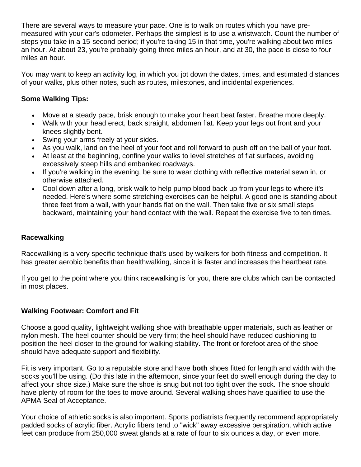There are several ways to measure your pace. One is to walk on routes which you have premeasured with your car's odometer. Perhaps the simplest is to use a wristwatch. Count the number of steps you take in a 15-second period; if you're taking 15 in that time, you're walking about two miles an hour. At about 23, you're probably going three miles an hour, and at 30, the pace is close to four miles an hour.

You may want to keep an activity log, in which you jot down the dates, times, and estimated distances of your walks, plus other notes, such as routes, milestones, and incidental experiences.

# **Some Walking Tips:**

- Move at a steady pace, brisk enough to make your heart beat faster. Breathe more deeply.
- Walk with your head erect, back straight, abdomen flat. Keep your legs out front and your knees slightly bent.
- Swing your arms freely at your sides.
- As you walk, land on the heel of your foot and roll forward to push off on the ball of your foot.
- At least at the beginning, confine your walks to level stretches of flat surfaces, avoiding excessively steep hills and embanked roadways.
- If you're walking in the evening, be sure to wear clothing with reflective material sewn in, or otherwise attached.
- Cool down after a long, brisk walk to help pump blood back up from your legs to where it's needed. Here's where some stretching exercises can be helpful. A good one is standing about three feet from a wall, with your hands flat on the wall. Then take five or six small steps backward, maintaining your hand contact with the wall. Repeat the exercise five to ten times.

### **Racewalking**

Racewalking is a very specific technique that's used by walkers for both fitness and competition. It has greater aerobic benefits than healthwalking, since it is faster and increases the heartbeat rate.

If you get to the point where you think racewalking is for you, there are clubs which can be contacted in most places.

### **Walking Footwear: Comfort and Fit**

Choose a good quality, lightweight walking shoe with breathable upper materials, such as leather or nylon mesh. The heel counter should be very firm; the heel should have reduced cushioning to position the heel closer to the ground for walking stability. The front or forefoot area of the shoe should have adequate support and flexibility.

Fit is very important. Go to a reputable store and have **both** shoes fitted for length and width with the socks you'll be using. (Do this late in the afternoon, since your feet do swell enough during the day to affect your shoe size.) Make sure the shoe is snug but not too tight over the sock. The shoe should have plenty of room for the toes to move around. Several walking shoes have qualified to use the APMA Seal of Acceptance.

Your choice of athletic socks is also important. Sports podiatrists frequently recommend appropriately padded socks of acrylic fiber. Acrylic fibers tend to "wick" away excessive perspiration, which active feet can produce from 250,000 sweat glands at a rate of four to six ounces a day, or even more.